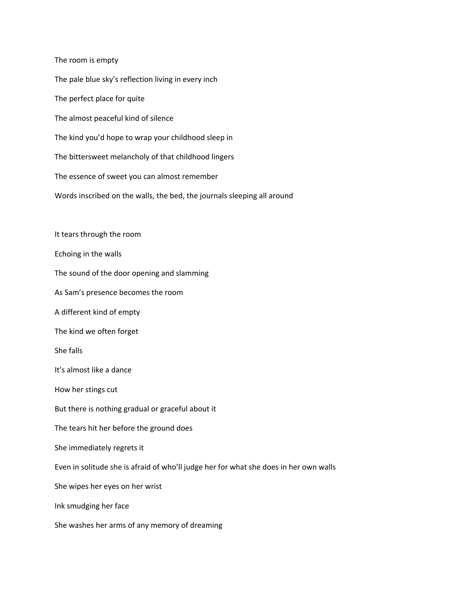The room is empty The pale blue sky's reflection living in every inch The perfect place for quite The almost peaceful kind of silence The kind you'd hope to wrap your childhood sleep in The bittersweet melancholy of that childhood lingers The essence of sweet you can almost remember Words inscribed on the walls, the bed, the journals sleeping all around It tears through the room Echoing in the walls The sound of the door opening and slamming As Sam's presence becomes the room A different kind of empty The kind we often forget She falls It's almost like a dance How her stings cut But there is nothing gradual or graceful about it The tears hit her before the ground does She immediately regrets it Even in solitude she is afraid of who'll judge her for what she does in her own walls She wipes her eyes on her wrist Ink smudging her face She washes her arms of any memory of dreaming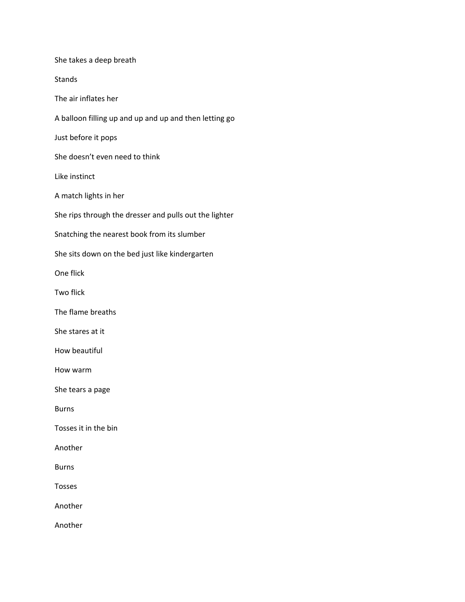She takes a deep breath Stands The air inflates her A balloon filling up and up and up and then letting go Just before it pops She doesn't even need to think Like instinct A match lights in her She rips through the dresser and pulls out the lighter Snatching the nearest book from its slumber She sits down on the bed just like kindergarten One flick Two flick The flame breaths She stares at it How beautiful How warm She tears a page Burns Tosses it in the bin Another Burns Tosses Another Another